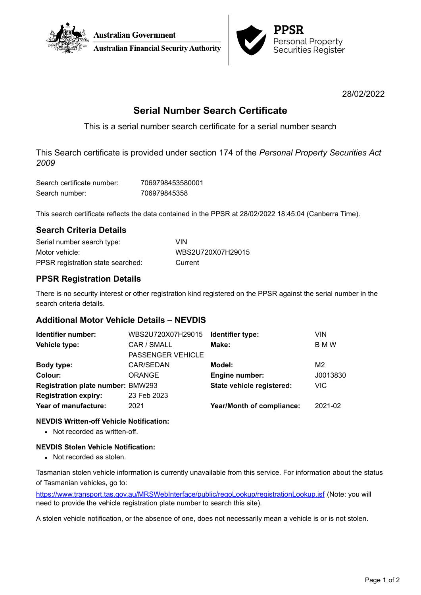



28/02/2022

# **Serial Number Search Certificate**

This is a serial number search certificate for a serial number search

This Search certificate is provided under section 174 of the *Personal Property Securities Act 2009*

| Search certificate number: | 7069798453580001 |
|----------------------------|------------------|
| Search number:             | 706979845358     |

This search certificate reflects the data contained in the PPSR at 28/02/2022 18:45:04 (Canberra Time).

## **Search Criteria Details**

| Serial number search type:        | VIN               |
|-----------------------------------|-------------------|
| Motor vehicle:                    | WBS2U720X07H29015 |
| PPSR registration state searched: | Current           |

# **PPSR Registration Details**

There is no security interest or other registration kind registered on the PPSR against the serial number in the search criteria details.

### **Additional Motor Vehicle Details – NEVDIS**

| Identifier number:                       | WBS2U720X07H29015        | Identifier type:          | VIN      |
|------------------------------------------|--------------------------|---------------------------|----------|
| Vehicle type:                            | CAR / SMALL              | Make:                     | B M W    |
|                                          | <b>PASSENGER VEHICLE</b> |                           |          |
| Body type:                               | CAR/SEDAN                | Model:                    | M2       |
| Colour:                                  | <b>ORANGE</b>            | Engine number:            | J0013830 |
| <b>Registration plate number: BMW293</b> |                          | State vehicle registered: | VIC.     |
| <b>Registration expiry:</b>              | 23 Feb 2023              |                           |          |
| Year of manufacture:                     | 2021                     | Year/Month of compliance: | 2021-02  |
|                                          |                          |                           |          |

### **NEVDIS Written-off Vehicle Notification:**

• Not recorded as written-off.

### **NEVDIS Stolen Vehicle Notification:**

• Not recorded as stolen.

Tasmanian stolen vehicle information is currently unavailable from this service. For information about the status of Tasmanian vehicles, go to:

<https://www.transport.tas.gov.au/MRSWebInterface/public/regoLookup/registrationLookup.jsf> (Note: you will need to provide the vehicle registration plate number to search this site).

A stolen vehicle notification, or the absence of one, does not necessarily mean a vehicle is or is not stolen.